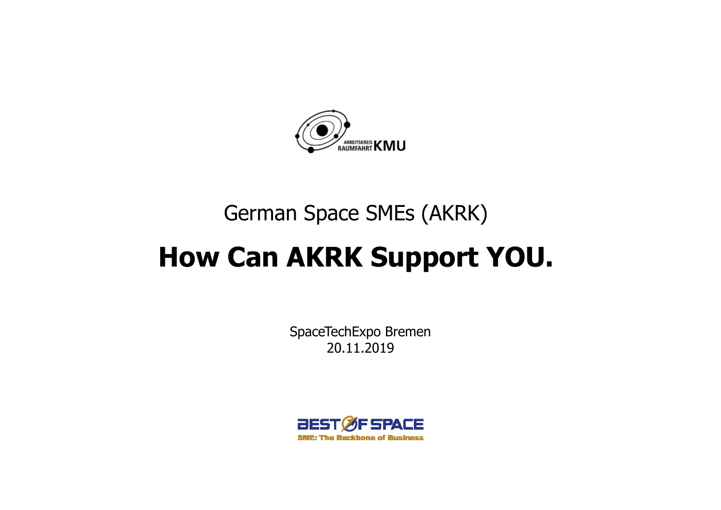

# German Space SMEs (AKRK)

# **How Can AKRK Support YOU.**

SpaceTechExpo Bremen 20.11.2019

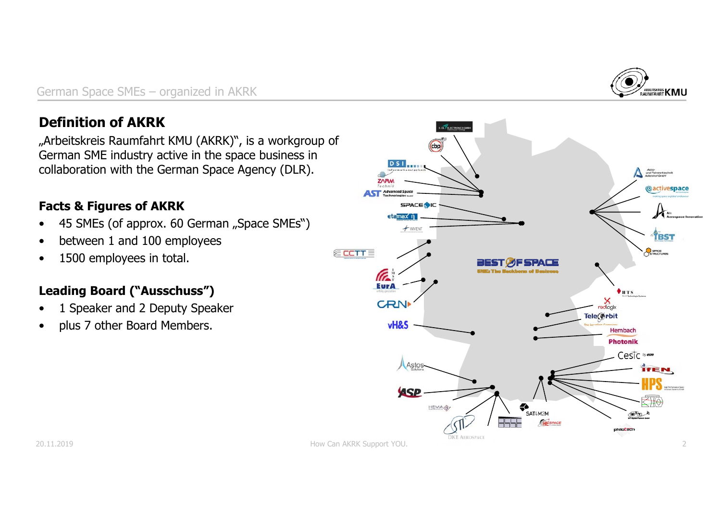

#### **Definition of AKRK**

"Arbeitskreis Raumfahrt KMU (AKRK)", is a workgroup of German SME industry active in the space business in collaboration with the German Space Agency (DLR).

#### **Facts & Figures of AKRK**

- •45 SMEs (of approx. 60 German "Space SMEs")
- •between 1 and 100 employees
- •1500 employees in total.

#### **Leading Board ("Ausschuss")**

- •1 Speaker and 2 Deputy Speaker
- •plus 7 other Board Members.

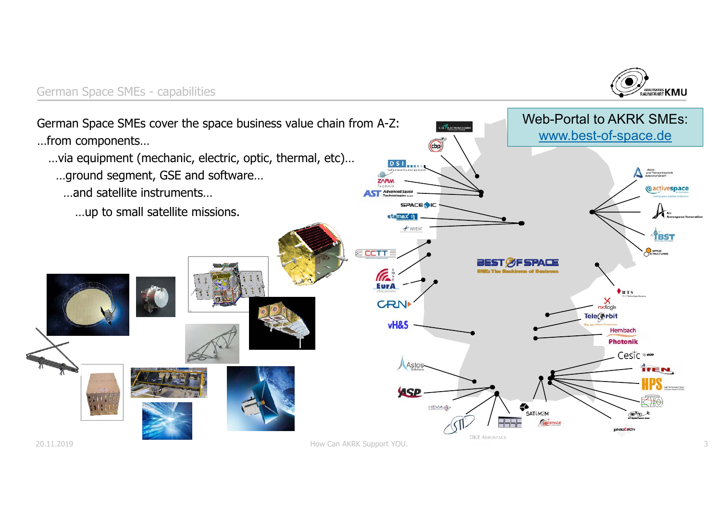

#### German Space SMEs - capabilities

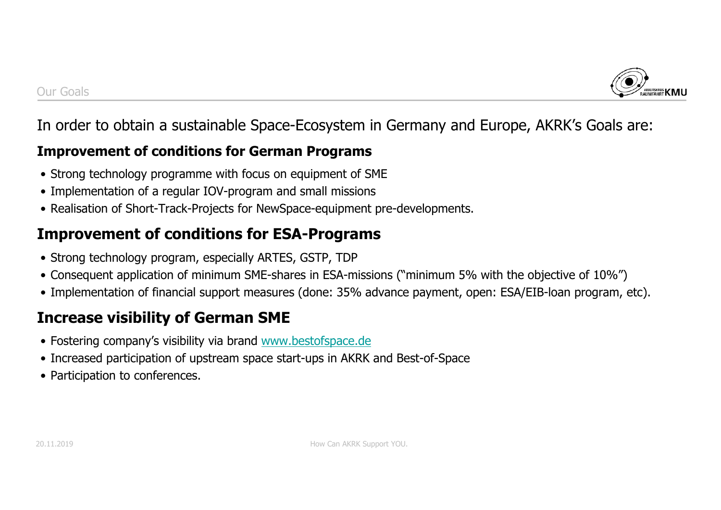

## In order to obtain a sustainable Space-Ecosystem in Germany and Europe, AKRK's Goals are:

#### **Improvement of conditions for German Programs**

- Strong technology programme with focus on equipment of SME
- Implementation of a regular IOV-program and small missions
- Realisation of Short-Track-Projects for NewSpace-equipment pre-developments.

# **Improvement of conditions for ESA-Programs**

- Strong technology program, especially ARTES, GSTP, TDP
- Consequent application of minimum SME-shares in ESA-missions ("minimum 5% with the objective of 10%")
- Implementation of financial support measures (done: 35% advance payment, open: ESA/EIB-loan program, etc).

# **Increase visibility of German SME**

- Fostering company's visibility via brand www.bestofspace.de
- Increased participation of upstream space start-ups in AKRK and Best-of-Space
- Participation to conferences.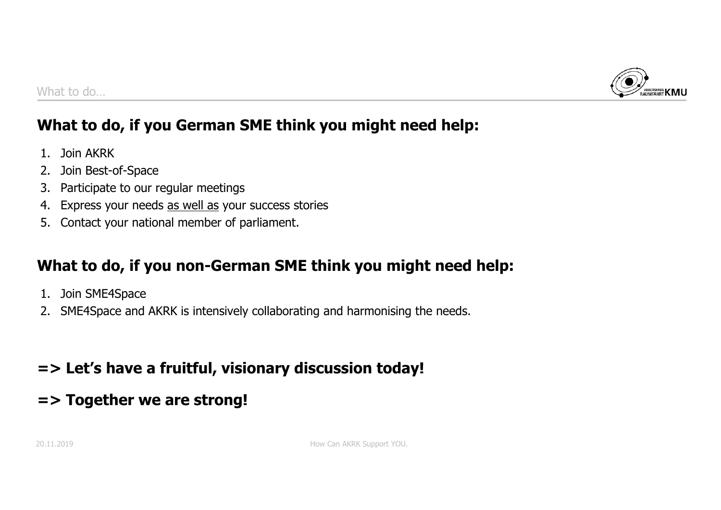

# **What to do, if you German SME think you might need help:**

- 1. Join AKRK
- 2. Join Best-of-Space
- 3. Participate to our regular meetings
- 4. Express your needs as well as your success stories
- 5. Contact your national member of parliament.

# **What to do, if you non-German SME think you might need help:**

- 1. Join SME4Space
- 2. SME4Space and AKRK is intensively collaborating and harmonising the needs.

# **=> Let's have a fruitful, visionary discussion today!**

## **=> Together we are strong!**

20.11.2019 **How Can AKRK Support YOU.** 20.11.2019